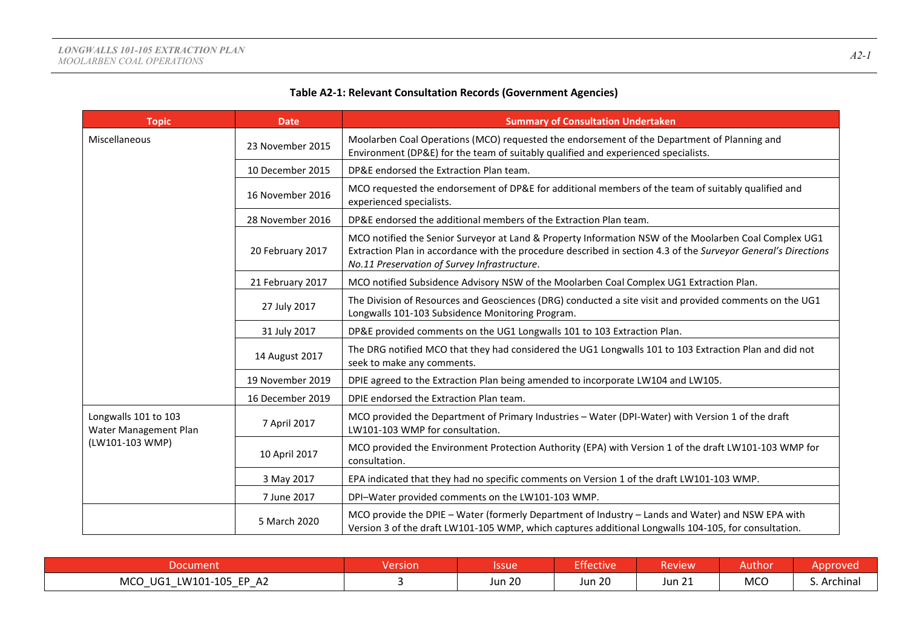# **Table A2-1: Relevant Consultation Records (Government Agencies)**

| <b>Topic</b>                                  | <b>Date</b>      | <b>Summary of Consultation Undertaken</b>                                                                                                                                                                                                                               |
|-----------------------------------------------|------------------|-------------------------------------------------------------------------------------------------------------------------------------------------------------------------------------------------------------------------------------------------------------------------|
| Miscellaneous                                 | 23 November 2015 | Moolarben Coal Operations (MCO) requested the endorsement of the Department of Planning and<br>Environment (DP&E) for the team of suitably qualified and experienced specialists.                                                                                       |
|                                               | 10 December 2015 | DP&E endorsed the Extraction Plan team.                                                                                                                                                                                                                                 |
|                                               | 16 November 2016 | MCO requested the endorsement of DP&E for additional members of the team of suitably qualified and<br>experienced specialists.                                                                                                                                          |
|                                               | 28 November 2016 | DP&E endorsed the additional members of the Extraction Plan team.                                                                                                                                                                                                       |
|                                               | 20 February 2017 | MCO notified the Senior Surveyor at Land & Property Information NSW of the Moolarben Coal Complex UG1<br>Extraction Plan in accordance with the procedure described in section 4.3 of the Surveyor General's Directions<br>No.11 Preservation of Survey Infrastructure. |
|                                               | 21 February 2017 | MCO notified Subsidence Advisory NSW of the Moolarben Coal Complex UG1 Extraction Plan.                                                                                                                                                                                 |
|                                               | 27 July 2017     | The Division of Resources and Geosciences (DRG) conducted a site visit and provided comments on the UG1<br>Longwalls 101-103 Subsidence Monitoring Program.                                                                                                             |
|                                               | 31 July 2017     | DP&E provided comments on the UG1 Longwalls 101 to 103 Extraction Plan.                                                                                                                                                                                                 |
|                                               | 14 August 2017   | The DRG notified MCO that they had considered the UG1 Longwalls 101 to 103 Extraction Plan and did not<br>seek to make any comments.                                                                                                                                    |
|                                               | 19 November 2019 | DPIE agreed to the Extraction Plan being amended to incorporate LW104 and LW105.                                                                                                                                                                                        |
|                                               | 16 December 2019 | DPIE endorsed the Extraction Plan team.                                                                                                                                                                                                                                 |
| Longwalls 101 to 103<br>Water Management Plan | 7 April 2017     | MCO provided the Department of Primary Industries - Water (DPI-Water) with Version 1 of the draft<br>LW101-103 WMP for consultation.                                                                                                                                    |
| (LW101-103 WMP)                               | 10 April 2017    | MCO provided the Environment Protection Authority (EPA) with Version 1 of the draft LW101-103 WMP for<br>consultation.                                                                                                                                                  |
|                                               | 3 May 2017       | EPA indicated that they had no specific comments on Version 1 of the draft LW101-103 WMP.                                                                                                                                                                               |
|                                               | 7 June 2017      | DPI-Water provided comments on the LW101-103 WMP.                                                                                                                                                                                                                       |
|                                               | 5 March 2020     | MCO provide the DPIE - Water (formerly Department of Industry - Lands and Water) and NSW EPA with<br>Version 3 of the draft LW101-105 WMP, which captures additional Longwalls 104-105, for consultation.                                                               |

| $-$ DOCLIPT<br>nent                                                                                                | $\sim$<br>rsion | Issue         | $-$ cm $\sim$<br>.<br>ctive | <b>view</b>     | Author     |            |
|--------------------------------------------------------------------------------------------------------------------|-----------------|---------------|-----------------------------|-----------------|------------|------------|
| <b>!W101-105 FP</b><br><b>MCC</b><br>A <sub>2</sub><br>UG1<br>$\overline{\phantom{0}}$<br>$\overline{\phantom{0}}$ |                 | <b>Jun 20</b> | <b>Jun 20</b>               | $-24$<br>Jun 21 | <b>MCO</b> | . Archinal |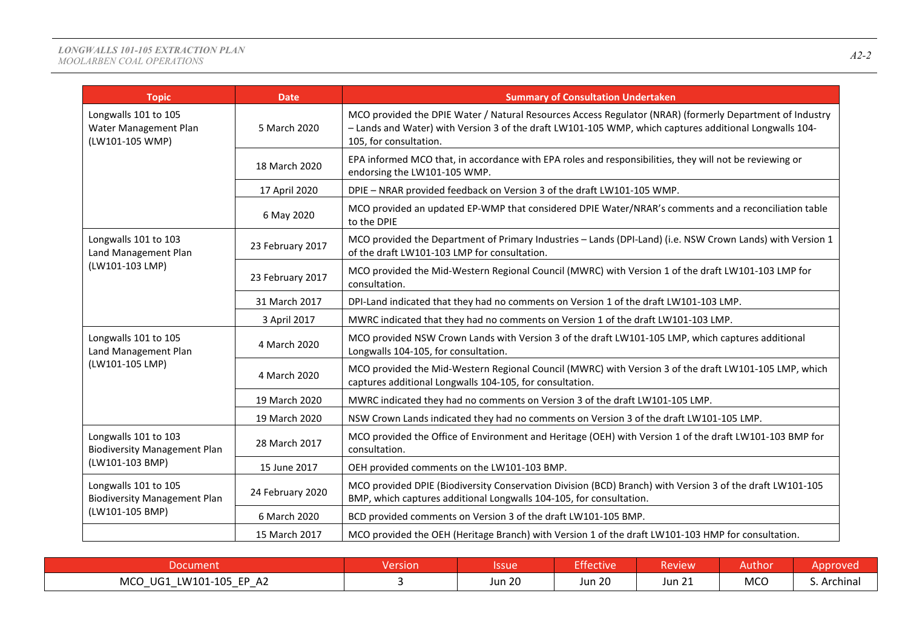### *LONGWALLS 101-105 EXTRACTION PLAN MOOLARBEN COAL OPERATIONS A2-2*

| <b>Topic</b>                                                     | <b>Date</b>      | <b>Summary of Consultation Undertaken</b>                                                                                                                                                                                                   |
|------------------------------------------------------------------|------------------|---------------------------------------------------------------------------------------------------------------------------------------------------------------------------------------------------------------------------------------------|
| Longwalls 101 to 105<br>Water Management Plan<br>(LW101-105 WMP) | 5 March 2020     | MCO provided the DPIE Water / Natural Resources Access Regulator (NRAR) (formerly Department of Industry<br>-Lands and Water) with Version 3 of the draft LW101-105 WMP, which captures additional Longwalls 104-<br>105, for consultation. |
|                                                                  | 18 March 2020    | EPA informed MCO that, in accordance with EPA roles and responsibilities, they will not be reviewing or<br>endorsing the LW101-105 WMP.                                                                                                     |
|                                                                  | 17 April 2020    | DPIE - NRAR provided feedback on Version 3 of the draft LW101-105 WMP.                                                                                                                                                                      |
|                                                                  | 6 May 2020       | MCO provided an updated EP-WMP that considered DPIE Water/NRAR's comments and a reconciliation table<br>to the DPIE                                                                                                                         |
| Longwalls 101 to 103<br>Land Management Plan                     | 23 February 2017 | MCO provided the Department of Primary Industries - Lands (DPI-Land) (i.e. NSW Crown Lands) with Version 1<br>of the draft LW101-103 LMP for consultation.                                                                                  |
| (LW101-103 LMP)                                                  | 23 February 2017 | MCO provided the Mid-Western Regional Council (MWRC) with Version 1 of the draft LW101-103 LMP for<br>consultation.                                                                                                                         |
|                                                                  | 31 March 2017    | DPI-Land indicated that they had no comments on Version 1 of the draft LW101-103 LMP.                                                                                                                                                       |
|                                                                  | 3 April 2017     | MWRC indicated that they had no comments on Version 1 of the draft LW101-103 LMP.                                                                                                                                                           |
| Longwalls 101 to 105<br>Land Management Plan                     | 4 March 2020     | MCO provided NSW Crown Lands with Version 3 of the draft LW101-105 LMP, which captures additional<br>Longwalls 104-105, for consultation.                                                                                                   |
| (LW101-105 LMP)                                                  | 4 March 2020     | MCO provided the Mid-Western Regional Council (MWRC) with Version 3 of the draft LW101-105 LMP, which<br>captures additional Longwalls 104-105, for consultation.                                                                           |
|                                                                  | 19 March 2020    | MWRC indicated they had no comments on Version 3 of the draft LW101-105 LMP.                                                                                                                                                                |
|                                                                  | 19 March 2020    | NSW Crown Lands indicated they had no comments on Version 3 of the draft LW101-105 LMP.                                                                                                                                                     |
| Longwalls 101 to 103<br><b>Biodiversity Management Plan</b>      | 28 March 2017    | MCO provided the Office of Environment and Heritage (OEH) with Version 1 of the draft LW101-103 BMP for<br>consultation.                                                                                                                    |
| (LW101-103 BMP)                                                  | 15 June 2017     | OEH provided comments on the LW101-103 BMP.                                                                                                                                                                                                 |
| Longwalls 101 to 105<br><b>Biodiversity Management Plan</b>      | 24 February 2020 | MCO provided DPIE (Biodiversity Conservation Division (BCD) Branch) with Version 3 of the draft LW101-105<br>BMP, which captures additional Longwalls 104-105, for consultation.                                                            |
| (LW101-105 BMP)                                                  | 6 March 2020     | BCD provided comments on Version 3 of the draft LW101-105 BMP.                                                                                                                                                                              |
|                                                                  | 15 March 2017    | MCO provided the OEH (Heritage Branch) with Version 1 of the draft LW101-103 HMP for consultation.                                                                                                                                          |

| Document                                                                                                   | Version | <b>Issue</b>  | $-100$<br>'ctive | Review           | Author     | <u> \nnroved</u> |
|------------------------------------------------------------------------------------------------------------|---------|---------------|------------------|------------------|------------|------------------|
| MCO<br>LW101-105 EP A2<br>UG1<br>$\hspace{0.05cm}$<br>$\overline{\phantom{0}}$<br>$\overline{\phantom{0}}$ |         | <b>Jun 20</b> | <b>Jun 20</b>    | $\sim$<br>Jun 21 | <b>MCO</b> | Archinal         |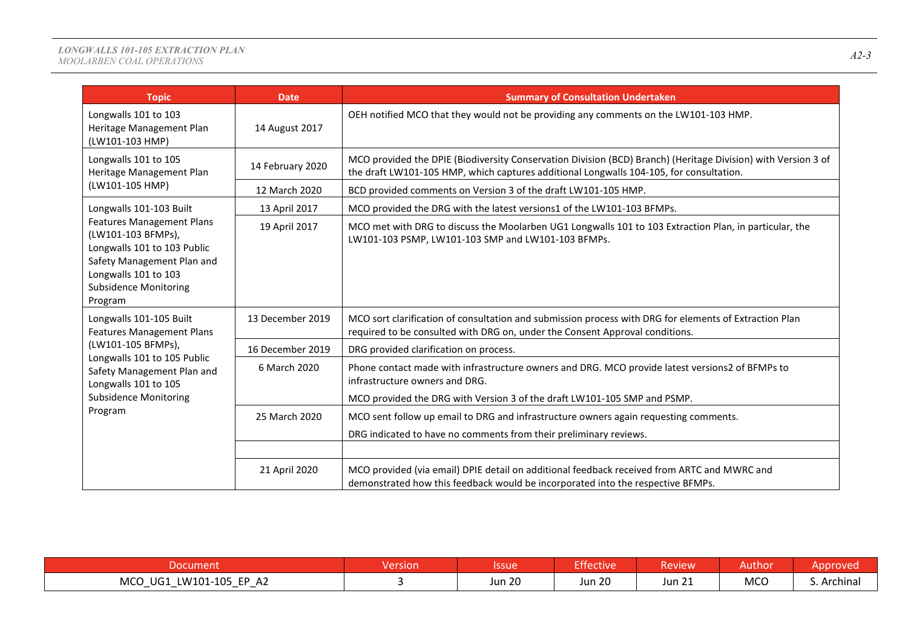| <b>Topic</b>                                                                                                                                                                           | <b>Date</b>      | <b>Summary of Consultation Undertaken</b>                                                                                                                                                                |
|----------------------------------------------------------------------------------------------------------------------------------------------------------------------------------------|------------------|----------------------------------------------------------------------------------------------------------------------------------------------------------------------------------------------------------|
| Longwalls 101 to 103<br>Heritage Management Plan<br>(LW101-103 HMP)                                                                                                                    | 14 August 2017   | OEH notified MCO that they would not be providing any comments on the LW101-103 HMP.                                                                                                                     |
| Longwalls 101 to 105<br>Heritage Management Plan                                                                                                                                       | 14 February 2020 | MCO provided the DPIE (Biodiversity Conservation Division (BCD) Branch) (Heritage Division) with Version 3 of<br>the draft LW101-105 HMP, which captures additional Longwalls 104-105, for consultation. |
| (LW101-105 HMP)                                                                                                                                                                        | 12 March 2020    | BCD provided comments on Version 3 of the draft LW101-105 HMP.                                                                                                                                           |
| Longwalls 101-103 Built                                                                                                                                                                | 13 April 2017    | MCO provided the DRG with the latest versions1 of the LW101-103 BFMPs.                                                                                                                                   |
| <b>Features Management Plans</b><br>(LW101-103 BFMPs),<br>Longwalls 101 to 103 Public<br>Safety Management Plan and<br>Longwalls 101 to 103<br><b>Subsidence Monitoring</b><br>Program | 19 April 2017    | MCO met with DRG to discuss the Moolarben UG1 Longwalls 101 to 103 Extraction Plan, in particular, the<br>LW101-103 PSMP, LW101-103 SMP and LW101-103 BFMPs.                                             |
| Longwalls 101-105 Built<br><b>Features Management Plans</b>                                                                                                                            | 13 December 2019 | MCO sort clarification of consultation and submission process with DRG for elements of Extraction Plan<br>required to be consulted with DRG on, under the Consent Approval conditions.                   |
| (LW101-105 BFMPs),                                                                                                                                                                     | 16 December 2019 | DRG provided clarification on process.                                                                                                                                                                   |
| Longwalls 101 to 105 Public<br>Safety Management Plan and<br>Longwalls 101 to 105                                                                                                      | 6 March 2020     | Phone contact made with infrastructure owners and DRG. MCO provide latest versions2 of BFMPs to<br>infrastructure owners and DRG.                                                                        |
| <b>Subsidence Monitoring</b>                                                                                                                                                           |                  | MCO provided the DRG with Version 3 of the draft LW101-105 SMP and PSMP.                                                                                                                                 |
| Program                                                                                                                                                                                | 25 March 2020    | MCO sent follow up email to DRG and infrastructure owners again requesting comments.                                                                                                                     |
|                                                                                                                                                                                        |                  | DRG indicated to have no comments from their preliminary reviews.                                                                                                                                        |
|                                                                                                                                                                                        |                  |                                                                                                                                                                                                          |
|                                                                                                                                                                                        | 21 April 2020    | MCO provided (via email) DPIE detail on additional feedback received from ARTC and MWRC and<br>demonstrated how this feedback would be incorporated into the respective BFMPs.                           |

| Docume                                                      | <b>Version</b> | <b>Issue</b>  | <b>Effective</b> | <b>Review</b>           | Authon     | Annroved             |
|-------------------------------------------------------------|----------------|---------------|------------------|-------------------------|------------|----------------------|
| MCO UG1<br>LW101-105 EP A2<br>$\overline{\phantom{0}}$<br>— |                | <b>Jun 20</b> | <b>Jun 20</b>    | $\mathcal{L}$<br>Jun 21 | <b>MCO</b> | Archinal<br><u>.</u> |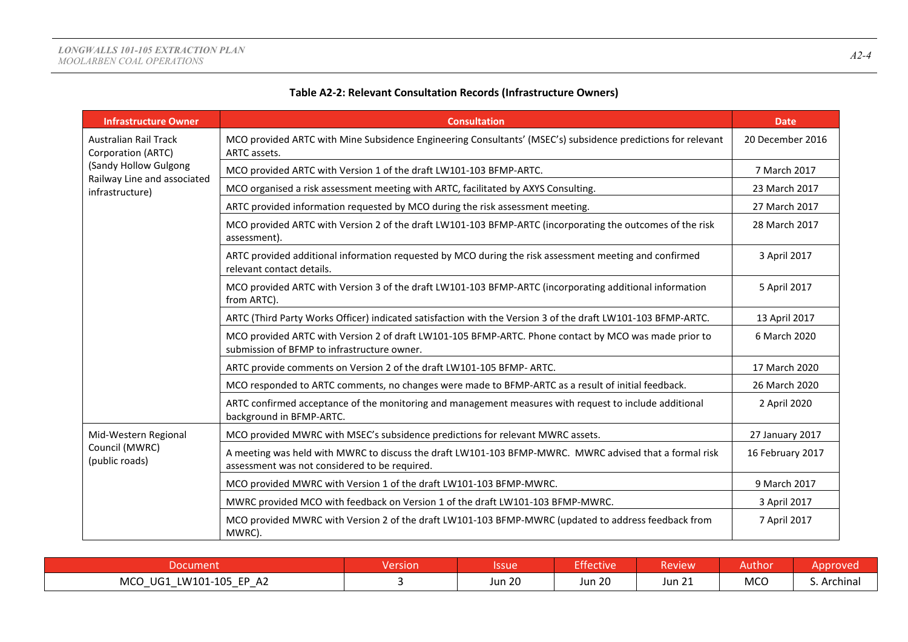|--|--|

# **Table A2-2: Relevant Consultation Records (Infrastructure Owners)**

| <b>Infrastructure Owner</b>                        | <b>Consultation</b>                                                                                                                                     | <b>Date</b>      |
|----------------------------------------------------|---------------------------------------------------------------------------------------------------------------------------------------------------------|------------------|
| <b>Australian Rail Track</b><br>Corporation (ARTC) | MCO provided ARTC with Mine Subsidence Engineering Consultants' (MSEC's) subsidence predictions for relevant<br>ARTC assets.                            | 20 December 2016 |
| (Sandy Hollow Gulgong                              | MCO provided ARTC with Version 1 of the draft LW101-103 BFMP-ARTC.                                                                                      | 7 March 2017     |
| Railway Line and associated<br>infrastructure)     | MCO organised a risk assessment meeting with ARTC, facilitated by AXYS Consulting.                                                                      | 23 March 2017    |
|                                                    | ARTC provided information requested by MCO during the risk assessment meeting.                                                                          | 27 March 2017    |
|                                                    | MCO provided ARTC with Version 2 of the draft LW101-103 BFMP-ARTC (incorporating the outcomes of the risk<br>assessment).                               | 28 March 2017    |
|                                                    | ARTC provided additional information requested by MCO during the risk assessment meeting and confirmed<br>relevant contact details.                     | 3 April 2017     |
|                                                    | MCO provided ARTC with Version 3 of the draft LW101-103 BFMP-ARTC (incorporating additional information<br>from ARTC).                                  | 5 April 2017     |
|                                                    | ARTC (Third Party Works Officer) indicated satisfaction with the Version 3 of the draft LW101-103 BFMP-ARTC.                                            | 13 April 2017    |
|                                                    | MCO provided ARTC with Version 2 of draft LW101-105 BFMP-ARTC. Phone contact by MCO was made prior to<br>submission of BFMP to infrastructure owner.    | 6 March 2020     |
|                                                    | ARTC provide comments on Version 2 of the draft LW101-105 BFMP- ARTC.                                                                                   | 17 March 2020    |
|                                                    | MCO responded to ARTC comments, no changes were made to BFMP-ARTC as a result of initial feedback.                                                      | 26 March 2020    |
|                                                    | ARTC confirmed acceptance of the monitoring and management measures with request to include additional<br>background in BFMP-ARTC.                      | 2 April 2020     |
| Mid-Western Regional                               | MCO provided MWRC with MSEC's subsidence predictions for relevant MWRC assets.                                                                          | 27 January 2017  |
| Council (MWRC)<br>(public roads)                   | A meeting was held with MWRC to discuss the draft LW101-103 BFMP-MWRC. MWRC advised that a formal risk<br>assessment was not considered to be required. | 16 February 2017 |
|                                                    | MCO provided MWRC with Version 1 of the draft LW101-103 BFMP-MWRC.                                                                                      | 9 March 2017     |
|                                                    | MWRC provided MCO with feedback on Version 1 of the draft LW101-103 BFMP-MWRC.                                                                          | 3 April 2017     |
|                                                    | MCO provided MWRC with Version 2 of the draft LW101-103 BFMP-MWRC (updated to address feedback from<br>MWRC).                                           | 7 April 2017     |

|                                                                          | <b>Version</b> | Issue         | <b>Exercise</b> | <b>Review</b>        | Authon     | oproved.             |
|--------------------------------------------------------------------------|----------------|---------------|-----------------|----------------------|------------|----------------------|
| <b>MCO</b><br>LW101-105 EP A2<br>UG1<br>$\overline{\phantom{0}}$<br>$ -$ |                | <b>Jun 20</b> | <b>Jun 20</b>   | $^{\circ}$<br>Jun 21 | <b>MCO</b> | Archinal<br><u>.</u> |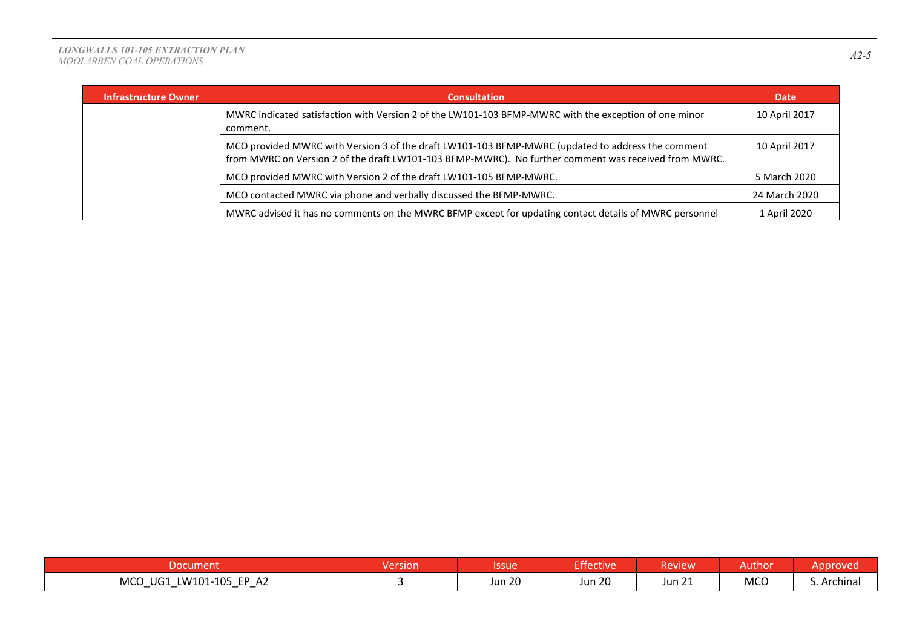| <b>Infrastructure Owner</b> | <b>Consultation</b>                                                                                                                                                                                       | <b>Date</b>   |
|-----------------------------|-----------------------------------------------------------------------------------------------------------------------------------------------------------------------------------------------------------|---------------|
|                             | MWRC indicated satisfaction with Version 2 of the LW101-103 BFMP-MWRC with the exception of one minor<br>comment.                                                                                         | 10 April 2017 |
|                             | MCO provided MWRC with Version 3 of the draft LW101-103 BFMP-MWRC (updated to address the comment<br>from MWRC on Version 2 of the draft LW101-103 BFMP-MWRC). No further comment was received from MWRC. | 10 April 2017 |
|                             | MCO provided MWRC with Version 2 of the draft LW101-105 BFMP-MWRC.                                                                                                                                        | 5 March 2020  |
|                             | MCO contacted MWRC via phone and verbally discussed the BFMP-MWRC.                                                                                                                                        | 24 March 2020 |
|                             | MWRC advised it has no comments on the MWRC BFMP except for updating contact details of MWRC personnel                                                                                                    | 1 April 2020  |

| Document                                                                                     | Version | Issue         | <b>Effective</b> | <b>Review</b>                         | Author | pproved     |
|----------------------------------------------------------------------------------------------|---------|---------------|------------------|---------------------------------------|--------|-------------|
| <b>MCO</b><br>LW101-105 EP A2<br>UG1<br>$\overline{\phantom{0}}$<br>$\overline{\phantom{0}}$ |         | <b>Jun 20</b> | <b>Jun 20</b>    | $\sim$ $\sim$ $\sim$<br><b>Jun 21</b> | MCO    | S. Archinal |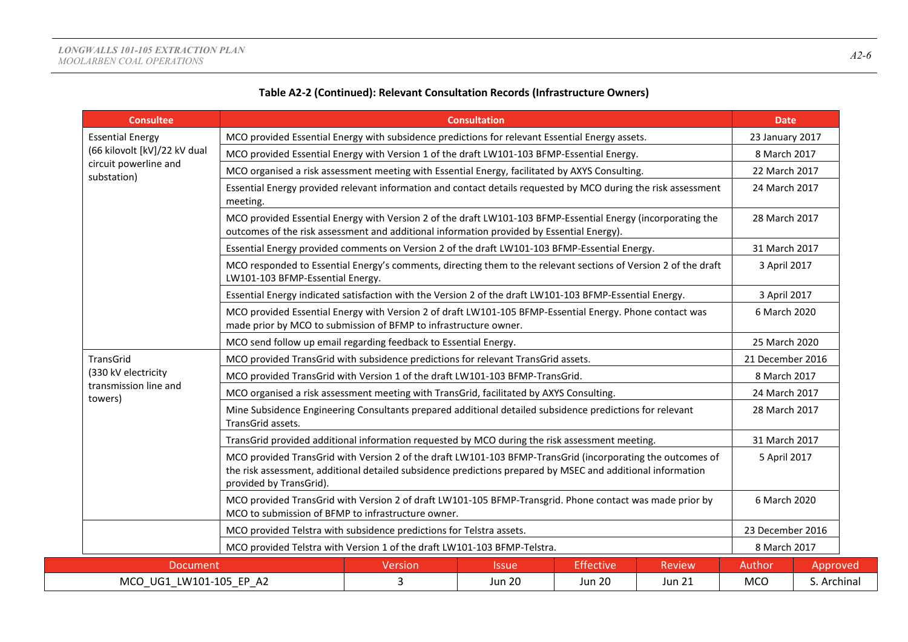| <b>Consultee</b>                     |                                                                                                                                                                                                                                                      | <b>Consultation</b>                                                                                            |                            |                  |               |                  |                 |  |
|--------------------------------------|------------------------------------------------------------------------------------------------------------------------------------------------------------------------------------------------------------------------------------------------------|----------------------------------------------------------------------------------------------------------------|----------------------------|------------------|---------------|------------------|-----------------|--|
| <b>Essential Energy</b>              |                                                                                                                                                                                                                                                      | MCO provided Essential Energy with subsidence predictions for relevant Essential Energy assets.                |                            |                  |               |                  | 23 January 2017 |  |
| (66 kilovolt [kV]/22 kV dual         |                                                                                                                                                                                                                                                      | MCO provided Essential Energy with Version 1 of the draft LW101-103 BFMP-Essential Energy.                     |                            |                  |               |                  | 8 March 2017    |  |
| circuit powerline and<br>substation) |                                                                                                                                                                                                                                                      | MCO organised a risk assessment meeting with Essential Energy, facilitated by AXYS Consulting.                 |                            |                  |               |                  | 22 March 2017   |  |
|                                      | meeting.                                                                                                                                                                                                                                             | Essential Energy provided relevant information and contact details requested by MCO during the risk assessment |                            |                  |               |                  | 24 March 2017   |  |
|                                      | MCO provided Essential Energy with Version 2 of the draft LW101-103 BFMP-Essential Energy (incorporating the<br>outcomes of the risk assessment and additional information provided by Essential Energy).                                            |                                                                                                                |                            |                  |               | 28 March 2017    |                 |  |
|                                      | Essential Energy provided comments on Version 2 of the draft LW101-103 BFMP-Essential Energy.                                                                                                                                                        |                                                                                                                |                            |                  |               | 31 March 2017    |                 |  |
|                                      | MCO responded to Essential Energy's comments, directing them to the relevant sections of Version 2 of the draft<br>LW101-103 BFMP-Essential Energy.                                                                                                  |                                                                                                                |                            |                  |               | 3 April 2017     |                 |  |
|                                      | Essential Energy indicated satisfaction with the Version 2 of the draft LW101-103 BFMP-Essential Energy.                                                                                                                                             |                                                                                                                |                            |                  |               | 3 April 2017     |                 |  |
|                                      | MCO provided Essential Energy with Version 2 of draft LW101-105 BFMP-Essential Energy. Phone contact was<br>made prior by MCO to submission of BFMP to infrastructure owner.                                                                         |                                                                                                                |                            |                  |               | 6 March 2020     |                 |  |
|                                      | MCO send follow up email regarding feedback to Essential Energy.                                                                                                                                                                                     |                                                                                                                |                            |                  |               |                  | 25 March 2020   |  |
| TransGrid                            | MCO provided TransGrid with subsidence predictions for relevant TransGrid assets.                                                                                                                                                                    |                                                                                                                |                            | 21 December 2016 |               |                  |                 |  |
| (330 kV electricity                  | MCO provided TransGrid with Version 1 of the draft LW101-103 BFMP-TransGrid.                                                                                                                                                                         |                                                                                                                |                            |                  | 8 March 2017  |                  |                 |  |
| transmission line and<br>towers)     | MCO organised a risk assessment meeting with TransGrid, facilitated by AXYS Consulting.                                                                                                                                                              |                                                                                                                |                            |                  |               | 24 March 2017    |                 |  |
|                                      | Mine Subsidence Engineering Consultants prepared additional detailed subsidence predictions for relevant<br>TransGrid assets.                                                                                                                        |                                                                                                                |                            |                  |               | 28 March 2017    |                 |  |
|                                      | TransGrid provided additional information requested by MCO during the risk assessment meeting.                                                                                                                                                       |                                                                                                                |                            |                  |               |                  | 31 March 2017   |  |
|                                      | MCO provided TransGrid with Version 2 of the draft LW101-103 BFMP-TransGrid (incorporating the outcomes of<br>the risk assessment, additional detailed subsidence predictions prepared by MSEC and additional information<br>provided by TransGrid). |                                                                                                                |                            |                  | 5 April 2017  |                  |                 |  |
|                                      | MCO provided TransGrid with Version 2 of draft LW101-105 BFMP-Transgrid. Phone contact was made prior by<br>MCO to submission of BFMP to infrastructure owner.                                                                                       |                                                                                                                |                            |                  |               | 6 March 2020     |                 |  |
|                                      | MCO provided Telstra with subsidence predictions for Telstra assets.                                                                                                                                                                                 |                                                                                                                |                            |                  |               | 23 December 2016 |                 |  |
|                                      | MCO provided Telstra with Version 1 of the draft LW101-103 BFMP-Telstra.                                                                                                                                                                             |                                                                                                                |                            |                  |               | 8 March 2017     |                 |  |
| <b>Document</b>                      |                                                                                                                                                                                                                                                      | Version                                                                                                        | <i><u><b>Issue</b></u></i> | <b>Effective</b> | <b>Review</b> | Author           | Approved        |  |
| MCO UG1 LW101-105 EP A2              |                                                                                                                                                                                                                                                      | 3                                                                                                              | <b>Jun 20</b>              | <b>Jun 20</b>    | <b>Jun 21</b> | <b>MCO</b>       | S. Archinal     |  |

## **Table A2-2 (Continued): Relevant Consultation Records (Infrastructure Owners)**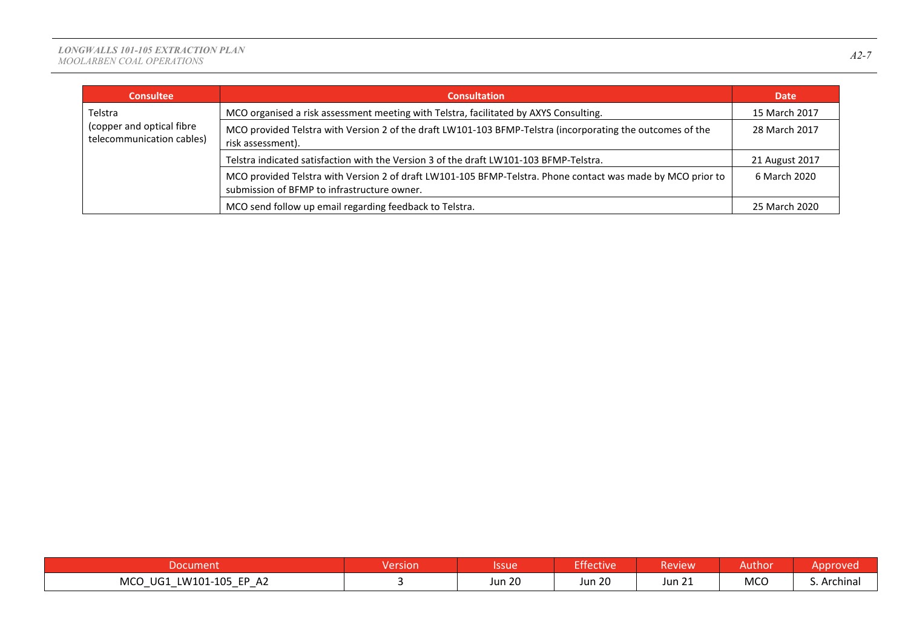| <b>Consultee</b>                                       | <b>Consultation</b>                                                                                                                                        | Date           |
|--------------------------------------------------------|------------------------------------------------------------------------------------------------------------------------------------------------------------|----------------|
| Telstra                                                | MCO organised a risk assessment meeting with Telstra, facilitated by AXYS Consulting.                                                                      | 15 March 2017  |
| (copper and optical fibre<br>telecommunication cables) | MCO provided Telstra with Version 2 of the draft LW101-103 BFMP-Telstra (incorporating the outcomes of the<br>risk assessment).                            | 28 March 2017  |
|                                                        | Telstra indicated satisfaction with the Version 3 of the draft LW101-103 BFMP-Telstra.                                                                     | 21 August 2017 |
|                                                        | MCO provided Telstra with Version 2 of draft LW101-105 BFMP-Telstra. Phone contact was made by MCO prior to<br>submission of BFMP to infrastructure owner. | 6 March 2020   |
|                                                        | MCO send follow up email regarding feedback to Telstra.                                                                                                    | 25 March 2020  |

|                                                                                                                | rsion | Issue         | (عء س<br><b>ctive</b> | Review           | Author     | <b>Exproved</b> |
|----------------------------------------------------------------------------------------------------------------|-------|---------------|-----------------------|------------------|------------|-----------------|
| <b>MCO</b><br>LW101-105<br>FP.<br>UG1<br>$\sim$<br>AZ.<br>$\overline{\phantom{0}}$<br>$\overline{\phantom{0}}$ |       | <b>Jun 20</b> | <b>Jun 20</b>         | $\sim$<br>Jun 21 | <b>MCC</b> | S. Archinal     |